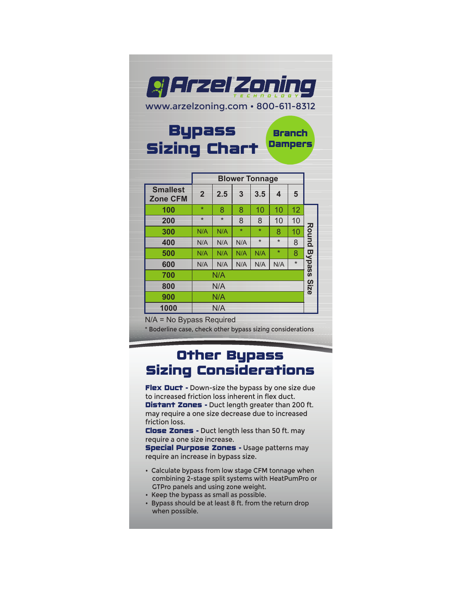

|                                    | <b>Blower Tonnage</b> |         |         |         |         |         |               |  |
|------------------------------------|-----------------------|---------|---------|---------|---------|---------|---------------|--|
| <b>Smallest</b><br><b>Zone CFM</b> | $\overline{2}$        | 2.5     | 3       | 3.5     | 4       | 5       |               |  |
| 100                                | $\star$               | 8       | 8       | 10      | 10      | 12      |               |  |
| 200                                | $\star$               | $\star$ | 8       | 8       | 10      | 10      |               |  |
| 300                                | N/A                   | N/A     | $\star$ | $\star$ | 8       | 10      | Round         |  |
| 400                                | N/A                   | N/A     | N/A     | $\star$ | $\star$ | 8       |               |  |
| 500                                | N/A                   | N/A     | N/A     | N/A     | $\star$ | 8       |               |  |
| 600                                | N/A                   | N/A     | N/A     | N/A     | N/A     | $\star$ | <b>Bypass</b> |  |
| 700                                | N/A                   |         |         |         |         |         |               |  |
| 800                                | N/A                   |         |         |         |         |         | Size          |  |
| 900                                | N/A                   |         |         |         |         |         |               |  |
| 1000                               | N/A                   |         |         |         |         |         |               |  |

N/A = No Bypass Required

\* Boderline case, check other bypass sizing considerations

## Other Bypass Sizing Considerations

Flex Duct - Down-size the bypass by one size due to increased friction loss inherent in flex duct. Distant Zones - Duct length greater than 200 ft. may require a one size decrease due to increased friction loss.

Close Zones - Duct length less than 50 ft. may require a one size increase.

**Special Purpose Zones - Usage patterns may** require an increase in bypass size.

- Calculate bypass from low stage CFM tonnage when combining 2-stage split systems with HeatPumPro or GTPro panels and using zone weight.
- Keep the bypass as small as possible.
- Bypass should be at least 8 ft. from the return drop when possible.